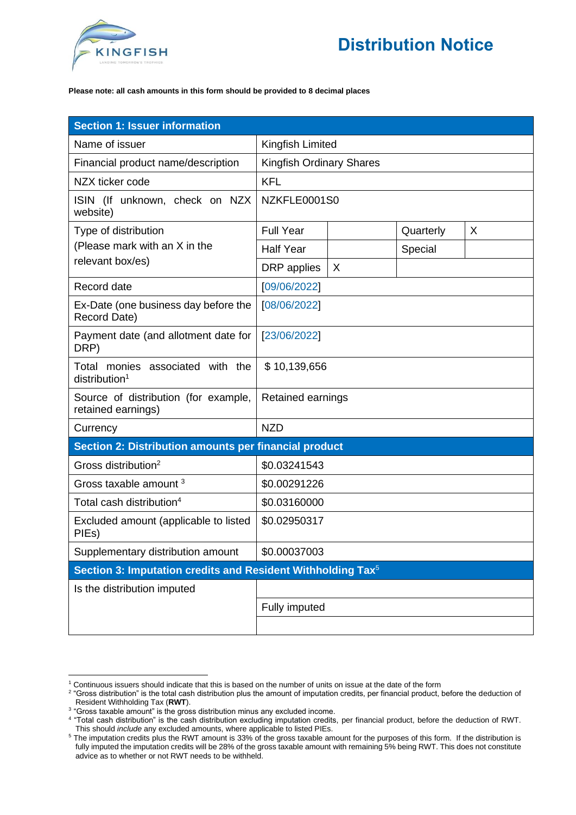

## **Please note: all cash amounts in this form should be provided to 8 decimal places**

| <b>Section 1: Issuer information</b>                                    |                                 |   |           |   |  |
|-------------------------------------------------------------------------|---------------------------------|---|-----------|---|--|
| Name of issuer                                                          | Kingfish Limited                |   |           |   |  |
| Financial product name/description                                      | <b>Kingfish Ordinary Shares</b> |   |           |   |  |
| NZX ticker code                                                         | <b>KFL</b>                      |   |           |   |  |
| ISIN (If unknown, check on NZX<br>website)                              | NZKFLE0001S0                    |   |           |   |  |
| Type of distribution                                                    | <b>Full Year</b>                |   | Quarterly | X |  |
| (Please mark with an X in the<br>relevant box/es)                       | <b>Half Year</b>                |   | Special   |   |  |
|                                                                         | DRP applies                     | X |           |   |  |
| Record date                                                             | [09/06/2022]                    |   |           |   |  |
| Ex-Date (one business day before the<br>Record Date)                    | [08/06/2022]                    |   |           |   |  |
| Payment date (and allotment date for<br>DRP)                            | [23/06/2022]                    |   |           |   |  |
| Total monies associated with the<br>distribution <sup>1</sup>           | \$10,139,656                    |   |           |   |  |
| Source of distribution (for example,<br>retained earnings)              | Retained earnings               |   |           |   |  |
| Currency                                                                | <b>NZD</b>                      |   |           |   |  |
| Section 2: Distribution amounts per financial product                   |                                 |   |           |   |  |
| Gross distribution <sup>2</sup>                                         | \$0.03241543                    |   |           |   |  |
| Gross taxable amount <sup>3</sup>                                       | \$0.00291226                    |   |           |   |  |
| Total cash distribution <sup>4</sup>                                    | \$0.03160000                    |   |           |   |  |
| Excluded amount (applicable to listed<br>PIEs)                          | \$0.02950317                    |   |           |   |  |
| Supplementary distribution amount                                       | \$0.00037003                    |   |           |   |  |
| Section 3: Imputation credits and Resident Withholding Tax <sup>5</sup> |                                 |   |           |   |  |
| Is the distribution imputed                                             |                                 |   |           |   |  |
|                                                                         | Fully imputed                   |   |           |   |  |
|                                                                         |                                 |   |           |   |  |

<sup>&</sup>lt;sup>1</sup> Continuous issuers should indicate that this is based on the number of units on issue at the date of the form

<sup>&</sup>lt;sup>2</sup> "Gross distribution" is the total cash distribution plus the amount of imputation credits, per financial product, before the deduction of Resident Withholding Tax (**RWT**).

<sup>&</sup>lt;sup>3</sup> "Gross taxable amount" is the gross distribution minus any excluded income.

<sup>4</sup> "Total cash distribution" is the cash distribution excluding imputation credits, per financial product, before the deduction of RWT. This should *include* any excluded amounts, where applicable to listed PIEs.

<sup>&</sup>lt;sup>5</sup> The imputation credits plus the RWT amount is 33% of the gross taxable amount for the purposes of this form. If the distribution is fully imputed the imputation credits will be 28% of the gross taxable amount with remaining 5% being RWT. This does not constitute advice as to whether or not RWT needs to be withheld.